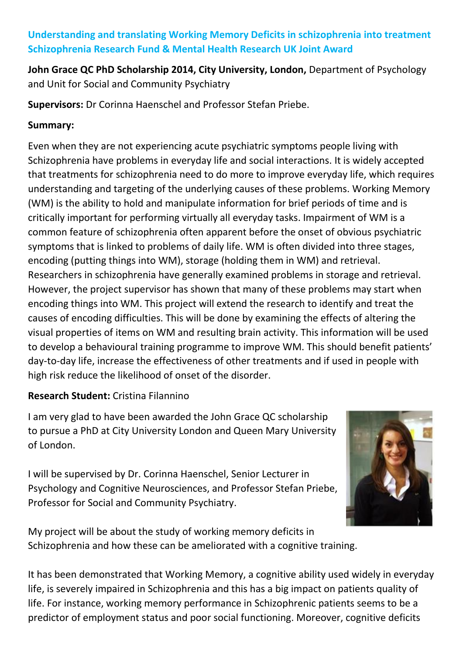## **Understanding and translating Working Memory Deficits in schizophrenia into treatment Schizophrenia Research Fund & Mental Health Research UK Joint Award**

**John Grace QC PhD Scholarship 2014, City University, London,** Department of Psychology and Unit for Social and Community Psychiatry

**Supervisors:** Dr Corinna Haenschel and Professor Stefan Priebe.

## **Summary:**

Even when they are not experiencing acute psychiatric symptoms people living with Schizophrenia have problems in everyday life and social interactions. It is widely accepted that treatments for schizophrenia need to do more to improve everyday life, which requires understanding and targeting of the underlying causes of these problems. Working Memory (WM) is the ability to hold and manipulate information for brief periods of time and is critically important for performing virtually all everyday tasks. Impairment of WM is a common feature of schizophrenia often apparent before the onset of obvious psychiatric symptoms that is linked to problems of daily life. WM is often divided into three stages, encoding (putting things into WM), storage (holding them in WM) and retrieval. Researchers in schizophrenia have generally examined problems in storage and retrieval. However, the project supervisor has shown that many of these problems may start when encoding things into WM. This project will extend the research to identify and treat the causes of encoding difficulties. This will be done by examining the effects of altering the visual properties of items on WM and resulting brain activity. This information will be used to develop a behavioural training programme to improve WM. This should benefit patients' day-to-day life, increase the effectiveness of other treatments and if used in people with high risk reduce the likelihood of onset of the disorder.

# **Research Student:** Cristina Filannino

I am very glad to have been awarded the John Grace QC scholarship to pursue a PhD at City University London and Queen Mary University of London.

I will be supervised by Dr. Corinna Haenschel, Senior Lecturer in Psychology and Cognitive Neurosciences, and Professor Stefan Priebe, Professor for Social and Community Psychiatry.



My project will be about the study of working memory deficits in Schizophrenia and how these can be ameliorated with a cognitive training.

It has been demonstrated that Working Memory, a cognitive ability used widely in everyday life, is severely impaired in Schizophrenia and this has a big impact on patients quality of life. For instance, working memory performance in Schizophrenic patients seems to be a predictor of employment status and poor social functioning. Moreover, cognitive deficits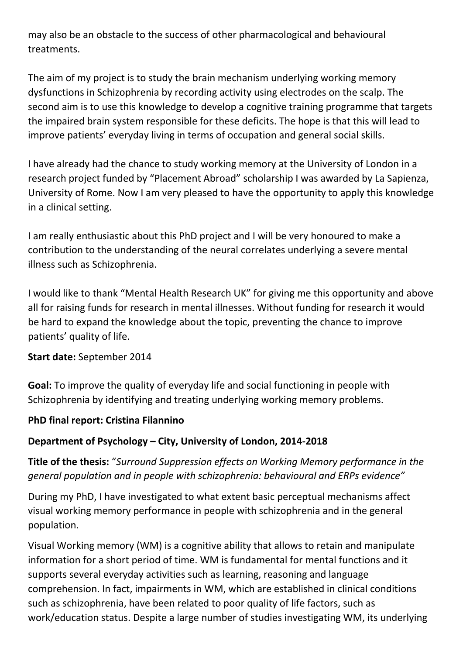may also be an obstacle to the success of other pharmacological and behavioural treatments.

The aim of my project is to study the brain mechanism underlying working memory dysfunctions in Schizophrenia by recording activity using electrodes on the scalp. The second aim is to use this knowledge to develop a cognitive training programme that targets the impaired brain system responsible for these deficits. The hope is that this will lead to improve patients' everyday living in terms of occupation and general social skills.

I have already had the chance to study working memory at the University of London in a research project funded by "Placement Abroad" scholarship I was awarded by La Sapienza, University of Rome. Now I am very pleased to have the opportunity to apply this knowledge in a clinical setting.

I am really enthusiastic about this PhD project and I will be very honoured to make a contribution to the understanding of the neural correlates underlying a severe mental illness such as Schizophrenia.

I would like to thank "Mental Health Research UK" for giving me this opportunity and above all for raising funds for research in mental illnesses. Without funding for research it would be hard to expand the knowledge about the topic, preventing the chance to improve patients' quality of life.

### **Start date:** September 2014

**Goal:** To improve the quality of everyday life and social functioning in people with Schizophrenia by identifying and treating underlying working memory problems.

### **PhD final report: Cristina Filannino**

### **Department of Psychology – City, University of London, 2014-2018**

**Title of the thesis:** "*Surround Suppression effects on Working Memory performance in the general population and in people with schizophrenia: behavioural and ERPs evidence"*

During my PhD, I have investigated to what extent basic perceptual mechanisms affect visual working memory performance in people with schizophrenia and in the general population.

Visual Working memory (WM) is a cognitive ability that allows to retain and manipulate information for a short period of time. WM is fundamental for mental functions and it supports several everyday activities such as learning, reasoning and language comprehension. In fact, impairments in WM, which are established in clinical conditions such as schizophrenia, have been related to poor quality of life factors, such as work/education status. Despite a large number of studies investigating WM, its underlying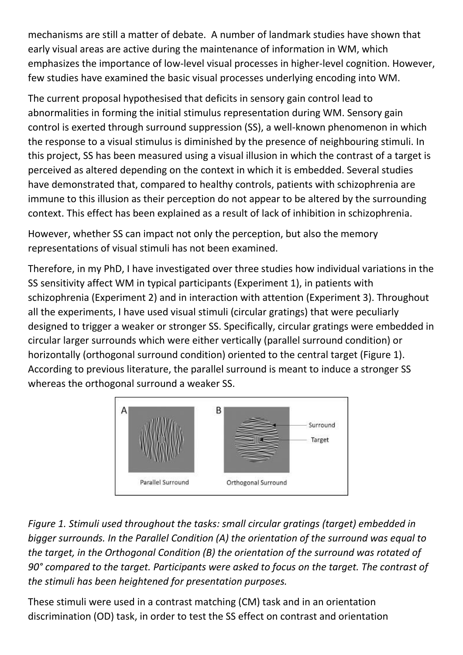mechanisms are still a matter of debate. A number of landmark studies have shown that early visual areas are active during the maintenance of information in WM, which emphasizes the importance of low-level visual processes in higher-level cognition. However, few studies have examined the basic visual processes underlying encoding into WM.

The current proposal hypothesised that deficits in sensory gain control lead to abnormalities in forming the initial stimulus representation during WM. Sensory gain control is exerted through surround suppression (SS), a well-known phenomenon in which the response to a visual stimulus is diminished by the presence of neighbouring stimuli. In this project, SS has been measured using a visual illusion in which the contrast of a target is perceived as altered depending on the context in which it is embedded. Several studies have demonstrated that, compared to healthy controls, patients with schizophrenia are immune to this illusion as their perception do not appear to be altered by the surrounding context. This effect has been explained as a result of lack of inhibition in schizophrenia.

However, whether SS can impact not only the perception, but also the memory representations of visual stimuli has not been examined.

Therefore, in my PhD, I have investigated over three studies how individual variations in the SS sensitivity affect WM in typical participants (Experiment 1), in patients with schizophrenia (Experiment 2) and in interaction with attention (Experiment 3). Throughout all the experiments, I have used visual stimuli (circular gratings) that were peculiarly designed to trigger a weaker or stronger SS. Specifically, circular gratings were embedded in circular larger surrounds which were either vertically (parallel surround condition) or horizontally (orthogonal surround condition) oriented to the central target (Figure 1). According to previous literature, the parallel surround is meant to induce a stronger SS whereas the orthogonal surround a weaker SS.



*Figure 1. Stimuli used throughout the tasks: small circular gratings (target) embedded in bigger surrounds. In the Parallel Condition (A) the orientation of the surround was equal to the target, in the Orthogonal Condition (B) the orientation of the surround was rotated of 90° compared to the target. Participants were asked to focus on the target. The contrast of the stimuli has been heightened for presentation purposes.*

These stimuli were used in a contrast matching (CM) task and in an orientation discrimination (OD) task, in order to test the SS effect on contrast and orientation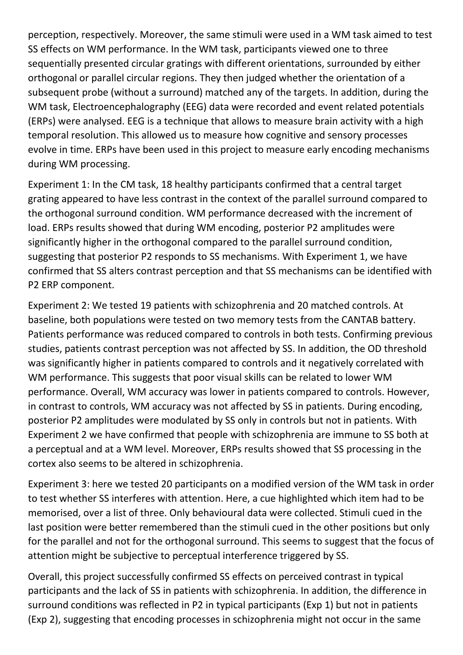perception, respectively. Moreover, the same stimuli were used in a WM task aimed to test SS effects on WM performance. In the WM task, participants viewed one to three sequentially presented circular gratings with different orientations, surrounded by either orthogonal or parallel circular regions. They then judged whether the orientation of a subsequent probe (without a surround) matched any of the targets. In addition, during the WM task, Electroencephalography (EEG) data were recorded and event related potentials (ERPs) were analysed. EEG is a technique that allows to measure brain activity with a high temporal resolution. This allowed us to measure how cognitive and sensory processes evolve in time. ERPs have been used in this project to measure early encoding mechanisms during WM processing.

Experiment 1: In the CM task, 18 healthy participants confirmed that a central target grating appeared to have less contrast in the context of the parallel surround compared to the orthogonal surround condition. WM performance decreased with the increment of load. ERPs results showed that during WM encoding, posterior P2 amplitudes were significantly higher in the orthogonal compared to the parallel surround condition, suggesting that posterior P2 responds to SS mechanisms. With Experiment 1, we have confirmed that SS alters contrast perception and that SS mechanisms can be identified with P2 ERP component.

Experiment 2: We tested 19 patients with schizophrenia and 20 matched controls. At baseline, both populations were tested on two memory tests from the CANTAB battery. Patients performance was reduced compared to controls in both tests. Confirming previous studies, patients contrast perception was not affected by SS. In addition, the OD threshold was significantly higher in patients compared to controls and it negatively correlated with WM performance. This suggests that poor visual skills can be related to lower WM performance. Overall, WM accuracy was lower in patients compared to controls. However, in contrast to controls, WM accuracy was not affected by SS in patients. During encoding, posterior P2 amplitudes were modulated by SS only in controls but not in patients. With Experiment 2 we have confirmed that people with schizophrenia are immune to SS both at a perceptual and at a WM level. Moreover, ERPs results showed that SS processing in the cortex also seems to be altered in schizophrenia.

Experiment 3: here we tested 20 participants on a modified version of the WM task in order to test whether SS interferes with attention. Here, a cue highlighted which item had to be memorised, over a list of three. Only behavioural data were collected. Stimuli cued in the last position were better remembered than the stimuli cued in the other positions but only for the parallel and not for the orthogonal surround. This seems to suggest that the focus of attention might be subjective to perceptual interference triggered by SS.

Overall, this project successfully confirmed SS effects on perceived contrast in typical participants and the lack of SS in patients with schizophrenia. In addition, the difference in surround conditions was reflected in P2 in typical participants (Exp 1) but not in patients (Exp 2), suggesting that encoding processes in schizophrenia might not occur in the same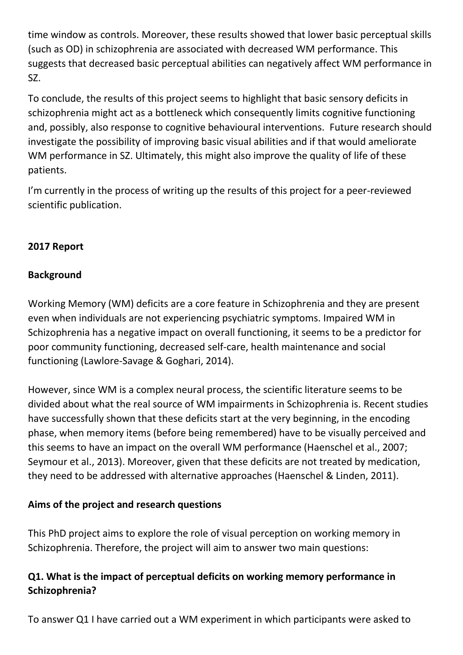time window as controls. Moreover, these results showed that lower basic perceptual skills (such as OD) in schizophrenia are associated with decreased WM performance. This suggests that decreased basic perceptual abilities can negatively affect WM performance in SZ.

To conclude, the results of this project seems to highlight that basic sensory deficits in schizophrenia might act as a bottleneck which consequently limits cognitive functioning and, possibly, also response to cognitive behavioural interventions. Future research should investigate the possibility of improving basic visual abilities and if that would ameliorate WM performance in SZ. Ultimately, this might also improve the quality of life of these patients.

I'm currently in the process of writing up the results of this project for a peer-reviewed scientific publication.

## **2017 Report**

## **Background**

Working Memory (WM) deficits are a core feature in Schizophrenia and they are present even when individuals are not experiencing psychiatric symptoms. Impaired WM in Schizophrenia has a negative impact on overall functioning, it seems to be a predictor for poor community functioning, decreased self-care, health maintenance and social functioning (Lawlore-Savage & Goghari, 2014).

However, since WM is a complex neural process, the scientific literature seems to be divided about what the real source of WM impairments in Schizophrenia is. Recent studies have successfully shown that these deficits start at the very beginning, in the encoding phase, when memory items (before being remembered) have to be visually perceived and this seems to have an impact on the overall WM performance (Haenschel et al., 2007; Seymour et al., 2013). Moreover, given that these deficits are not treated by medication, they need to be addressed with alternative approaches (Haenschel & Linden, 2011).

# **Aims of the project and research questions**

This PhD project aims to explore the role of visual perception on working memory in Schizophrenia. Therefore, the project will aim to answer two main questions:

# **Q1. What is the impact of perceptual deficits on working memory performance in Schizophrenia?**

To answer Q1 I have carried out a WM experiment in which participants were asked to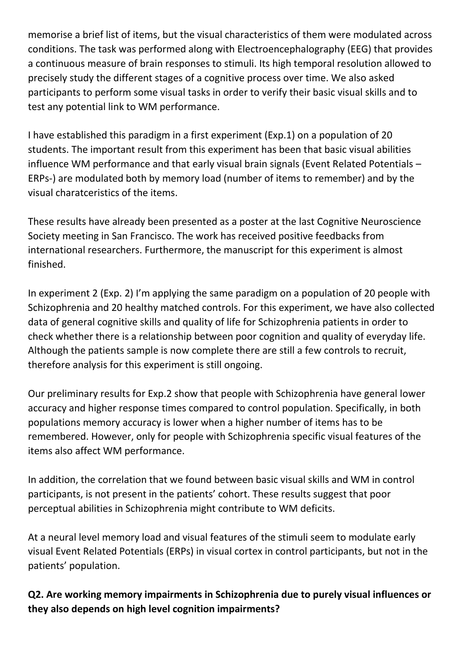memorise a brief list of items, but the visual characteristics of them were modulated across conditions. The task was performed along with Electroencephalography (EEG) that provides a continuous measure of brain responses to stimuli. Its high temporal resolution allowed to precisely study the different stages of a cognitive process over time. We also asked participants to perform some visual tasks in order to verify their basic visual skills and to test any potential link to WM performance.

I have established this paradigm in a first experiment (Exp.1) on a population of 20 students. The important result from this experiment has been that basic visual abilities influence WM performance and that early visual brain signals (Event Related Potentials – ERPs-) are modulated both by memory load (number of items to remember) and by the visual charatceristics of the items.

These results have already been presented as a poster at the last Cognitive Neuroscience Society meeting in San Francisco. The work has received positive feedbacks from international researchers. Furthermore, the manuscript for this experiment is almost finished.

In experiment 2 (Exp. 2) I'm applying the same paradigm on a population of 20 people with Schizophrenia and 20 healthy matched controls. For this experiment, we have also collected data of general cognitive skills and quality of life for Schizophrenia patients in order to check whether there is a relationship between poor cognition and quality of everyday life. Although the patients sample is now complete there are still a few controls to recruit, therefore analysis for this experiment is still ongoing.

Our preliminary results for Exp.2 show that people with Schizophrenia have general lower accuracy and higher response times compared to control population. Specifically, in both populations memory accuracy is lower when a higher number of items has to be remembered. However, only for people with Schizophrenia specific visual features of the items also affect WM performance.

In addition, the correlation that we found between basic visual skills and WM in control participants, is not present in the patients' cohort. These results suggest that poor perceptual abilities in Schizophrenia might contribute to WM deficits.

At a neural level memory load and visual features of the stimuli seem to modulate early visual Event Related Potentials (ERPs) in visual cortex in control participants, but not in the patients' population.

# **Q2. Are working memory impairments in Schizophrenia due to purely visual influences or they also depends on high level cognition impairments?**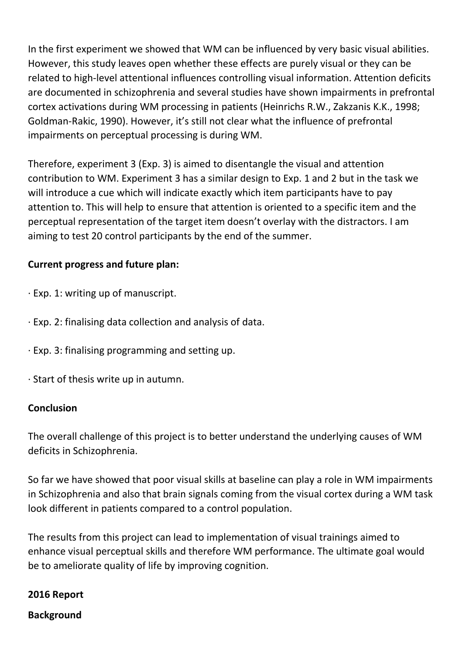In the first experiment we showed that WM can be influenced by very basic visual abilities. However, this study leaves open whether these effects are purely visual or they can be related to high-level attentional influences controlling visual information. Attention deficits are documented in schizophrenia and several studies have shown impairments in prefrontal cortex activations during WM processing in patients (Heinrichs R.W., Zakzanis K.K., 1998; Goldman-Rakic, 1990). However, it's still not clear what the influence of prefrontal impairments on perceptual processing is during WM.

Therefore, experiment 3 (Exp. 3) is aimed to disentangle the visual and attention contribution to WM. Experiment 3 has a similar design to Exp. 1 and 2 but in the task we will introduce a cue which will indicate exactly which item participants have to pay attention to. This will help to ensure that attention is oriented to a specific item and the perceptual representation of the target item doesn't overlay with the distractors. I am aiming to test 20 control participants by the end of the summer.

## **Current progress and future plan:**

- · Exp. 1: writing up of manuscript.
- · Exp. 2: finalising data collection and analysis of data.
- · Exp. 3: finalising programming and setting up.
- · Start of thesis write up in autumn.

#### **Conclusion**

The overall challenge of this project is to better understand the underlying causes of WM deficits in Schizophrenia.

So far we have showed that poor visual skills at baseline can play a role in WM impairments in Schizophrenia and also that brain signals coming from the visual cortex during a WM task look different in patients compared to a control population.

The results from this project can lead to implementation of visual trainings aimed to enhance visual perceptual skills and therefore WM performance. The ultimate goal would be to ameliorate quality of life by improving cognition.

#### **2016 Report**

#### **Background**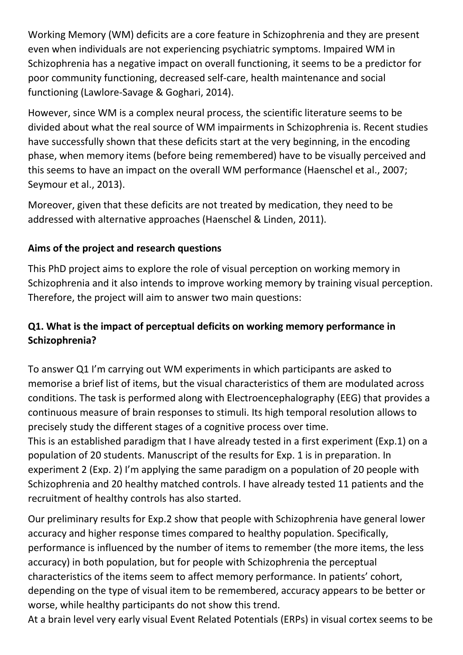Working Memory (WM) deficits are a core feature in Schizophrenia and they are present even when individuals are not experiencing psychiatric symptoms. Impaired WM in Schizophrenia has a negative impact on overall functioning, it seems to be a predictor for poor community functioning, decreased self-care, health maintenance and social functioning (Lawlore-Savage & Goghari, 2014).

However, since WM is a complex neural process, the scientific literature seems to be divided about what the real source of WM impairments in Schizophrenia is. Recent studies have successfully shown that these deficits start at the very beginning, in the encoding phase, when memory items (before being remembered) have to be visually perceived and this seems to have an impact on the overall WM performance (Haenschel et al., 2007; Seymour et al., 2013).

Moreover, given that these deficits are not treated by medication, they need to be addressed with alternative approaches (Haenschel & Linden, 2011).

# **Aims of the project and research questions**

This PhD project aims to explore the role of visual perception on working memory in Schizophrenia and it also intends to improve working memory by training visual perception. Therefore, the project will aim to answer two main questions:

# **Q1. What is the impact of perceptual deficits on working memory performance in Schizophrenia?**

To answer Q1 I'm carrying out WM experiments in which participants are asked to memorise a brief list of items, but the visual characteristics of them are modulated across conditions. The task is performed along with Electroencephalography (EEG) that provides a continuous measure of brain responses to stimuli. Its high temporal resolution allows to precisely study the different stages of a cognitive process over time.

This is an established paradigm that I have already tested in a first experiment (Exp.1) on a population of 20 students. Manuscript of the results for Exp. 1 is in preparation. In experiment 2 (Exp. 2) I'm applying the same paradigm on a population of 20 people with Schizophrenia and 20 healthy matched controls. I have already tested 11 patients and the recruitment of healthy controls has also started.

Our preliminary results for Exp.2 show that people with Schizophrenia have general lower accuracy and higher response times compared to healthy population. Specifically, performance is influenced by the number of items to remember (the more items, the less accuracy) in both population, but for people with Schizophrenia the perceptual characteristics of the items seem to affect memory performance. In patients' cohort, depending on the type of visual item to be remembered, accuracy appears to be better or worse, while healthy participants do not show this trend.

At a brain level very early visual Event Related Potentials (ERPs) in visual cortex seems to be